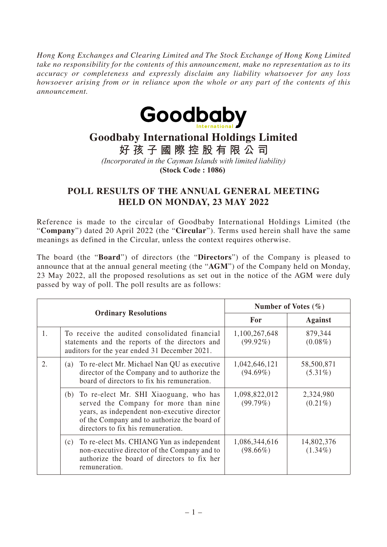*Hong Kong Exchanges and Clearing Limited and The Stock Exchange of Hong Kong Limited take no responsibility for the contents of this announcement, make no representation as to its accuracy or completeness and expressly disclaim any liability whatsoever for any loss howsoever arising from or in reliance upon the whole or any part of the contents of this announcement.*



## **Goodbaby International Holdings Limited**

**好孩子國際控股有限公司**

*(Incorporated in the Cayman Islands with limited liability)*

**(Stock Code : 1086)** 

## **POLL RESULTS OF THE ANNUAL GENERAL MEETING HELD ON MONDAY, 23 MAY 2022**

Reference is made to the circular of Goodbaby International Holdings Limited (the "**Company**") dated 20 April 2022 (the "**Circular**"). Terms used herein shall have the same meanings as defined in the Circular, unless the context requires otherwise.

The board (the "**Board**") of directors (the "**Directors**") of the Company is pleased to announce that at the annual general meeting (the "**AGM**") of the Company held on Monday, 23 May 2022, all the proposed resolutions as set out in the notice of the AGM were duly passed by way of poll. The poll results are as follows:

| <b>Ordinary Resolutions</b> |                                                                                                                                                                                                                           | Number of Votes $(\% )$      |                          |
|-----------------------------|---------------------------------------------------------------------------------------------------------------------------------------------------------------------------------------------------------------------------|------------------------------|--------------------------|
|                             |                                                                                                                                                                                                                           | For                          | <b>Against</b>           |
| 1.                          | To receive the audited consolidated financial<br>statements and the reports of the directors and<br>auditors for the year ended 31 December 2021.                                                                         | 1,100,267,648<br>$(99.92\%)$ | 879,344<br>$(0.08\%)$    |
| 2.                          | To re-elect Mr. Michael Nan QU as executive<br>(a)<br>director of the Company and to authorize the<br>board of directors to fix his remuneration.                                                                         | 1,042,646,121<br>$(94.69\%)$ | 58,500,871<br>$(5.31\%)$ |
|                             | (b) To re-elect Mr. SHI Xiaoguang, who has<br>served the Company for more than nine<br>years, as independent non-executive director<br>of the Company and to authorize the board of<br>directors to fix his remuneration. | 1,098,822,012<br>(99.79%)    | 2,324,980<br>$(0.21\%)$  |
|                             | (c) To re-elect Ms. CHIANG Yun as independent<br>non-executive director of the Company and to<br>authorize the board of directors to fix her<br>remuneration.                                                             | 1,086,344,616<br>$(98.66\%)$ | 14,802,376<br>$(1.34\%)$ |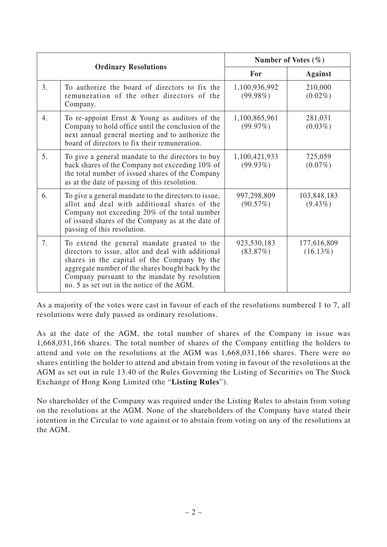| <b>Ordinary Resolutions</b> |                                                                                                                                                                                                                                                                                                       | Number of Votes $(\% )$      |                            |
|-----------------------------|-------------------------------------------------------------------------------------------------------------------------------------------------------------------------------------------------------------------------------------------------------------------------------------------------------|------------------------------|----------------------------|
|                             |                                                                                                                                                                                                                                                                                                       | For                          | Against                    |
| 3.                          | To authorize the board of directors to fix the<br>remuneration of the other directors of the<br>Company.                                                                                                                                                                                              | 1,100,936,992<br>$(99.98\%)$ | 210,000<br>$(0.02\%)$      |
| 4.                          | To re-appoint Ernst $&$ Young as auditors of the<br>Company to hold office until the conclusion of the<br>next annual general meeting and to authorize the<br>board of directors to fix their remuneration.                                                                                           | 1,100,865,961<br>(99.97%)    | 281,031<br>$(0.03\%)$      |
| 5.                          | To give a general mandate to the directors to buy<br>back shares of the Company not exceeding 10% of<br>the total number of issued shares of the Company<br>as at the date of passing of this resolution.                                                                                             | 1,100,421,933<br>$(99.93\%)$ | 725,059<br>$(0.07\%)$      |
| 6.                          | To give a general mandate to the directors to issue,<br>allot and deal with additional shares of the<br>Company not exceeding 20% of the total number<br>of issued shares of the Company as at the date of<br>passing of this resolution.                                                             | 997,298,809<br>(90.57%)      | 103,848,183<br>$(9.43\%)$  |
| 7.                          | To extend the general mandate granted to the<br>directors to issue, allot and deal with additional<br>shares in the capital of the Company by the<br>aggregate number of the shares bought back by the<br>Company pursuant to the mandate by resolution<br>no. 5 as set out in the notice of the AGM. | 923,530,183<br>(83.87%)      | 177,616,809<br>$(16.13\%)$ |

As a majority of the votes were cast in favour of each of the resolutions numbered 1 to 7, all resolutions were duly passed as ordinary resolutions.

As at the date of the AGM, the total number of shares of the Company in issue was 1,668,031,166 shares. The total number of shares of the Company entitling the holders to attend and vote on the resolutions at the AGM was 1,668,031,166 shares. There were no shares entitling the holder to attend and abstain from voting in favour of the resolutions at the AGM as set out in rule 13.40 of the Rules Governing the Listing of Securities on The Stock Exchange of Hong Kong Limited (the "**Listing Rules**").

No shareholder of the Company was required under the Listing Rules to abstain from voting on the resolutions at the AGM. None of the shareholders of the Company have stated their intention in the Circular to vote against or to abstain from voting on any of the resolutions at the AGM.